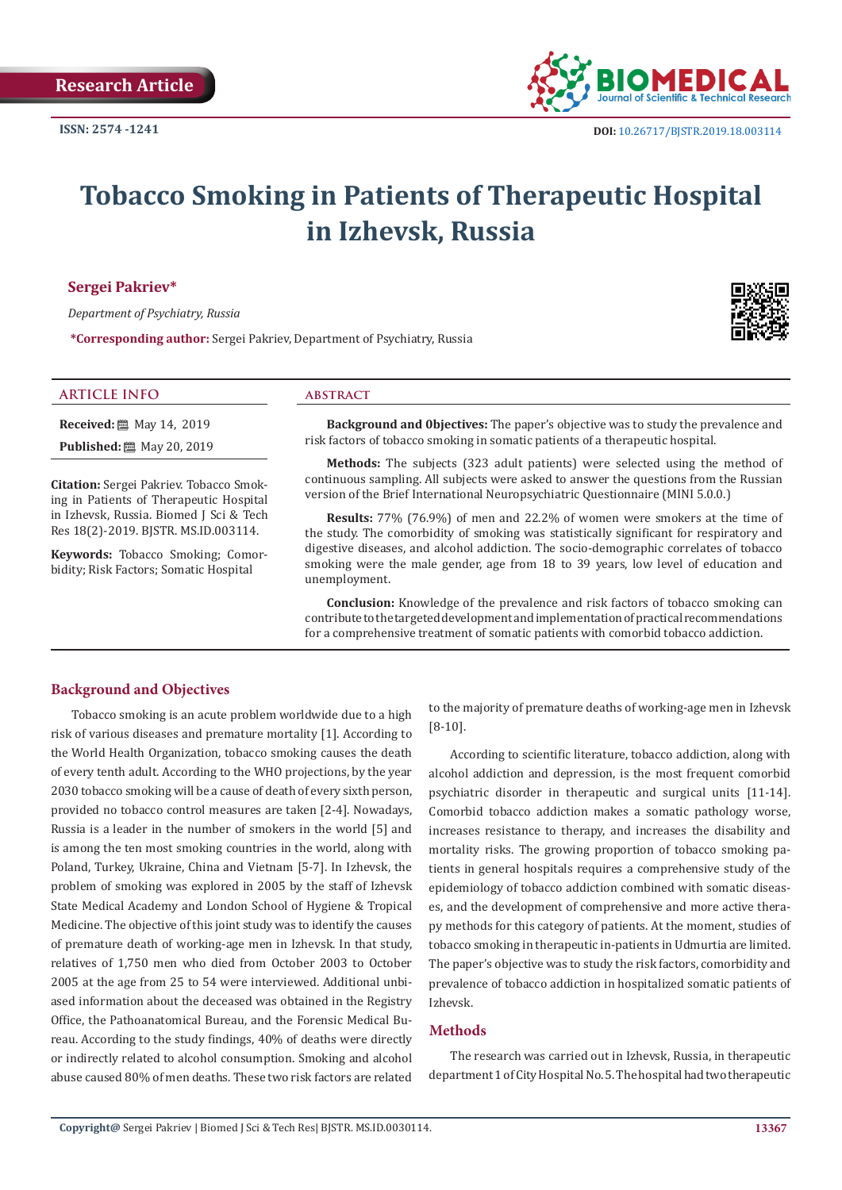

# **Tobacco Smoking in Patients of Therapeutic Hospital in Izhevsk, Russia**

# **Sergei Pakriev\***

*Department of Psychiatry, Russia* 

**\*Corresponding author:** Sergei Pakriev, Department of Psychiatry, Russia

# **ARTICLE INFO abstract**

**Received:** 圖 May 14, 2019 **Published:** 圖 May 20, 2019

**Citation:** Sergei Pakriev. Tobacco Smoking in Patients of Therapeutic Hospital in Izhevsk, Russia. Biomed J Sci & Tech Res 18(2)-2019. BJSTR. MS.ID.003114.

**Keywords:** Tobacco Smoking; Comorbidity; Risk Factors; Somatic Hospital

**Background and 0bjectives:** The paper's objective was to study the prevalence and risk factors of tobacco smoking in somatic patients of a therapeutic hospital.

**Methods:** The subjects (323 adult patients) were selected using the method of continuous sampling. All subjects were asked to answer the questions from the Russian version of the Brief International Neuropsychiatric Questionnaire (MINI 5.0.0.)

**Results:** 77% (76.9%) of men and 22.2% of women were smokers at the time of the study. The comorbidity of smoking was statistically significant for respiratory and digestive diseases, and alcohol addiction. The socio-demographic correlates of tobacco smoking were the male gender, age from 18 to 39 years, low level of education and unemployment.

**Conclusion:** Knowledge of the prevalence and risk factors of tobacco smoking can contribute to the targeted development and implementation of practical recommendations for a comprehensive treatment of somatic patients with comorbid tobacco addiction.

# **Background and Objectives**

Tobacco smoking is an acute problem worldwide due to a high risk of various diseases and premature mortality [1]. According to the World Health Organization, tobacco smoking causes the death of every tenth adult. According to the WHO projections, by the year 2030 tobacco smoking will be a cause of death of every sixth person, provided no tobacco control measures are taken [2-4]. Nowadays, Russia is a leader in the number of smokers in the world [5] and is among the ten most smoking countries in the world, along with Poland, Turkey, Ukraine, China and Vietnam [5-7]. In Izhevsk, the problem of smoking was explored in 2005 by the staff of Izhevsk State Medical Academy and London School of Hygiene & Tropical Medicine. The objective of this joint study was to identify the causes of premature death of working-age men in Izhevsk. In that study, relatives of 1,750 men who died from October 2003 to October 2005 at the age from 25 to 54 were interviewed. Additional unbiased information about the deceased was obtained in the Registry Office, the Pathoanatomical Bureau, and the Forensic Medical Bureau. According to the study findings, 40% of deaths were directly or indirectly related to alcohol consumption. Smoking and alcohol abuse caused 80% of men deaths. These two risk factors are related

to the majority of premature deaths of working-age men in Izhevsk [8-10].

According to scientific literature, tobacco addiction, along with alcohol addiction and depression, is the most frequent comorbid psychiatric disorder in therapeutic and surgical units [11-14]. Comorbid tobacco addiction makes a somatic pathology worse, increases resistance to therapy, and increases the disability and mortality risks. The growing proportion of tobacco smoking patients in general hospitals requires a comprehensive study of the epidemiology of tobacco addiction combined with somatic diseases, and the development of comprehensive and more active therapy methods for this category of patients. At the moment, studies of tobacco smoking in therapeutic in-patients in Udmurtia are limited. The paper's objective was to study the risk factors, comorbidity and prevalence of tobacco addiction in hospitalized somatic patients of Izhevsk.

#### **Methods**

The research was carried out in Izhevsk, Russia, in therapeutic department 1 of City Hospital No. 5. The hospital had two therapeutic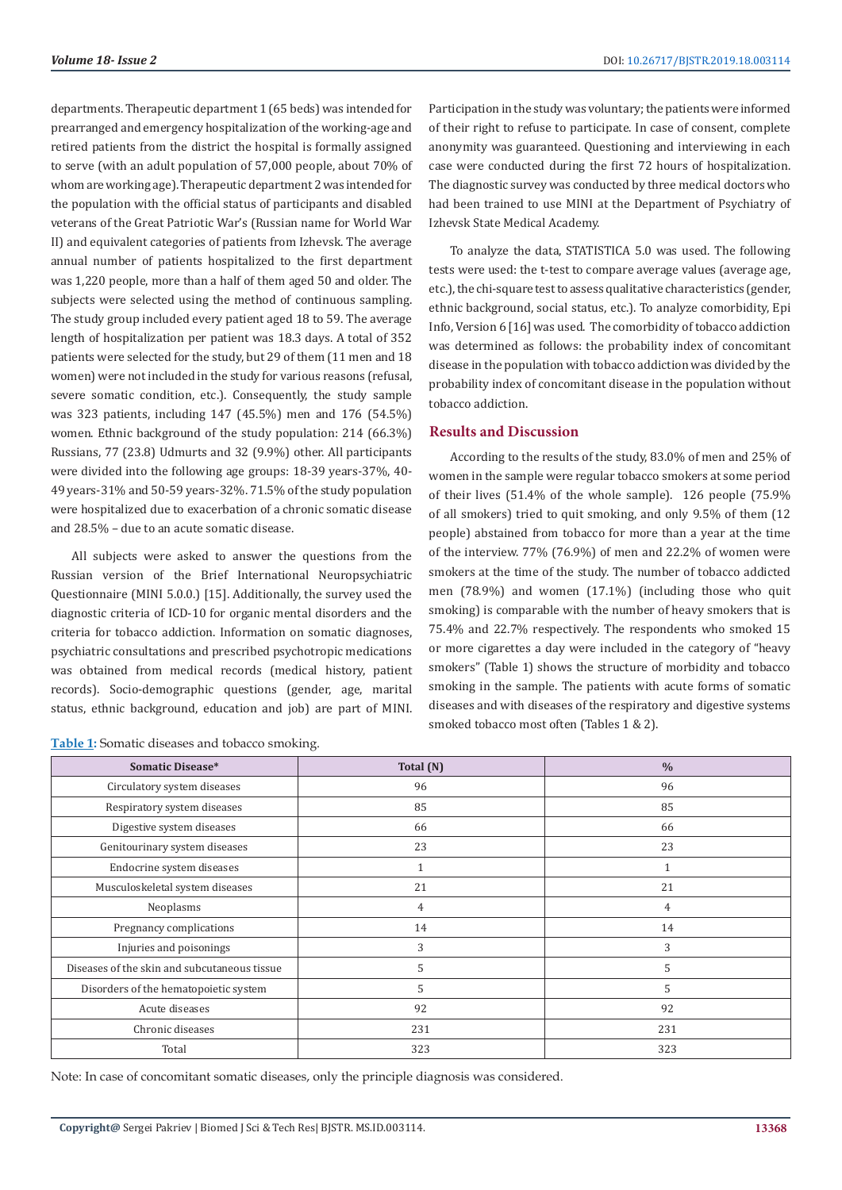departments. Therapeutic department 1 (65 beds) was intended for prearranged and emergency hospitalization of the working-age and retired patients from the district the hospital is formally assigned to serve (with an adult population of 57,000 people, about 70% of whom are working age). Therapeutic department 2 was intended for the population with the official status of participants and disabled veterans of the Great Patriotic War's (Russian name for World War II) and equivalent categories of patients from Izhevsk. The average annual number of patients hospitalized to the first department was 1,220 people, more than a half of them aged 50 and older. The subjects were selected using the method of continuous sampling. The study group included every patient aged 18 to 59. The average length of hospitalization per patient was 18.3 days. A total of 352 patients were selected for the study, but 29 of them (11 men and 18 women) were not included in the study for various reasons (refusal, severe somatic condition, etc.). Consequently, the study sample was 323 patients, including 147 (45.5%) men and 176 (54.5%) women. Ethnic background of the study population: 214 (66.3%) Russians, 77 (23.8) Udmurts and 32 (9.9%) other. All participants were divided into the following age groups: 18-39 years-37%, 40- 49 years-31% and 50-59 years-32%. 71.5% of the study population were hospitalized due to exacerbation of a chronic somatic disease and 28.5% – due to an acute somatic disease.

All subjects were asked to answer the questions from the Russian version of the Brief International Neuropsychiatric Questionnaire (MINI 5.0.0.) [15]. Additionally, the survey used the diagnostic criteria of ICD-10 for organic mental disorders and the criteria for tobacco addiction. Information on somatic diagnoses, psychiatric consultations and prescribed psychotropic medications was obtained from medical records (medical history, patient records). Socio-demographic questions (gender, age, marital status, ethnic background, education and job) are part of MINI.

| Table 1: Somatic diseases and tobacco smoking. |  |  |  |  |
|------------------------------------------------|--|--|--|--|
|------------------------------------------------|--|--|--|--|

Participation in the study was voluntary; the patients were informed of their right to refuse to participate. In case of consent, complete anonymity was guaranteed. Questioning and interviewing in each case were conducted during the first 72 hours of hospitalization. The diagnostic survey was conducted by three medical doctors who had been trained to use MINI at the Department of Psychiatry of Izhevsk State Medical Academy.

To analyze the data, STATISTICA 5.0 was used. The following tests were used: the t-test to compare average values (average age, etc.), the chi-square test to assess qualitative characteristics (gender, ethnic background, social status, etc.). To analyze comorbidity, Epi Info, Version 6 [16] was used. The comorbidity of tobacco addiction was determined as follows: the probability index of concomitant disease in the population with tobacco addiction was divided by the probability index of concomitant disease in the population without tobacco addiction.

#### **Results and Discussion**

According to the results of the study, 83.0% of men and 25% of women in the sample were regular tobacco smokers at some period of their lives (51.4% of the whole sample). 126 people (75.9% of all smokers) tried to quit smoking, and only 9.5% of them (12 people) abstained from tobacco for more than a year at the time of the interview. 77% (76.9%) of men and 22.2% of women were smokers at the time of the study. The number of tobacco addicted men (78.9%) and women (17.1%) (including those who quit smoking) is comparable with the number of heavy smokers that is 75.4% and 22.7% respectively. The respondents who smoked 15 or more cigarettes a day were included in the category of "heavy smokers" (Table 1) shows the structure of morbidity and tobacco smoking in the sample. The patients with acute forms of somatic diseases and with diseases of the respiratory and digestive systems smoked tobacco most often (Tables 1 & 2).

| Somatic Disease*                             | Total $(N)$  | $\frac{0}{0}$ |
|----------------------------------------------|--------------|---------------|
| Circulatory system diseases                  | 96           | 96            |
| Respiratory system diseases                  | 85           | 85            |
| Digestive system diseases                    | 66           | 66            |
| Genitourinary system diseases                | 23           | 23            |
| Endocrine system diseases                    | $\mathbf{1}$ | 1             |
| Musculoskeletal system diseases              | 21           | 21            |
| Neoplasms                                    | 4            | 4             |
| Pregnancy complications                      | 14           | 14            |
| Injuries and poisonings                      | 3            | 3             |
| Diseases of the skin and subcutaneous tissue | 5            | 5             |
| Disorders of the hematopoietic system        | 5            | 5             |
| Acute diseases                               | 92           | 92            |
| Chronic diseases                             | 231          | 231           |
| Total                                        | 323          | 323           |

Note: In case of concomitant somatic diseases, only the principle diagnosis was considered.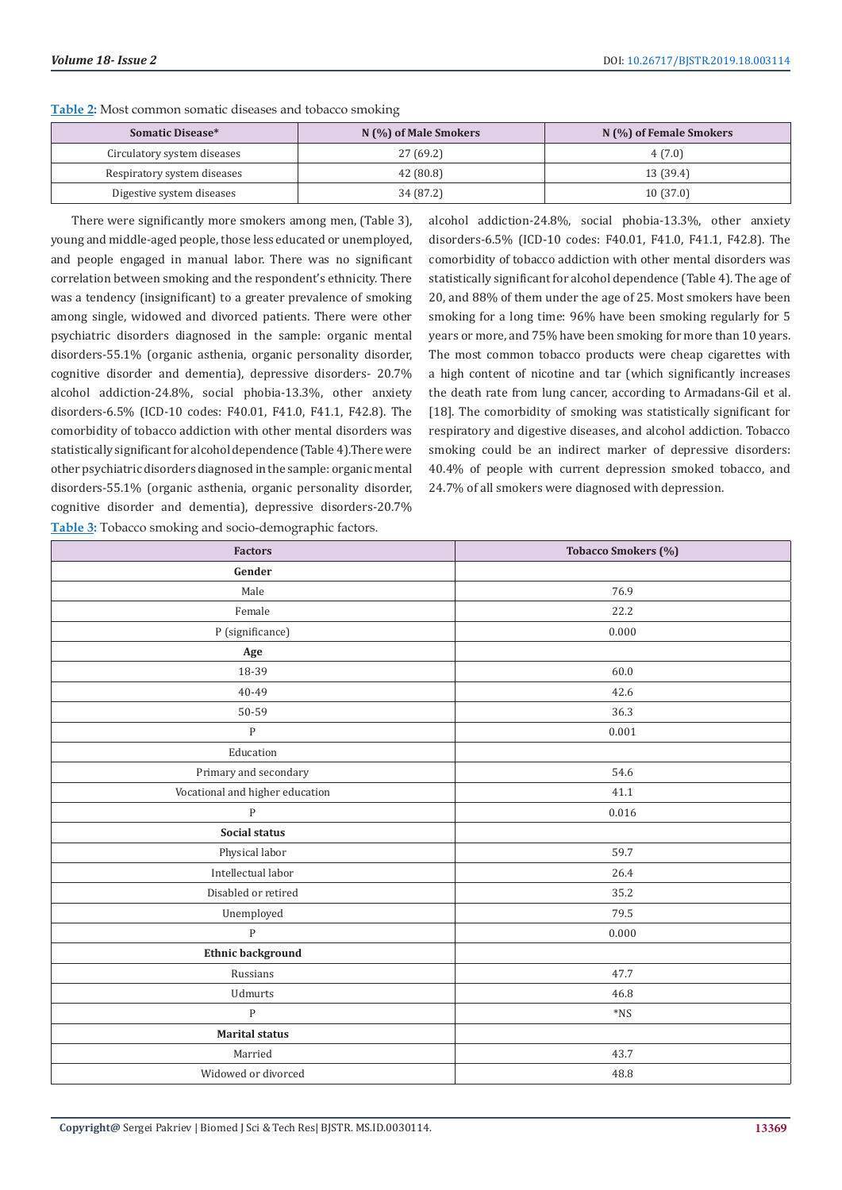| <b>Somatic Disease*</b>     | $N(\%)$ of Male Smokers | N (%) of Female Smokers |
|-----------------------------|-------------------------|-------------------------|
| Circulatory system diseases | 27 (69.2)               | 4(7.0)                  |
| Respiratory system diseases | 42 (80.8)               | 13 (39.4)               |
| Digestive system diseases   | 34 (87.2)               | 10(37.0)                |

**Table 2:** Most common somatic diseases and tobacco smoking

There were significantly more smokers among men, (Table 3), young and middle-aged people, those less educated or unemployed, and people engaged in manual labor. There was no significant correlation between smoking and the respondent's ethnicity. There was a tendency (insignificant) to a greater prevalence of smoking among single, widowed and divorced patients. There were other psychiatric disorders diagnosed in the sample: organic mental disorders-55.1% (organic asthenia, organic personality disorder, cognitive disorder and dementia), depressive disorders- 20.7% alcohol addiction-24.8%, social phobia-13.3%, other anxiety disorders-6.5% (ICD-10 codes: F40.01, F41.0, F41.1, F42.8). The comorbidity of tobacco addiction with other mental disorders was statistically significant for alcohol dependence (Table 4).There were other psychiatric disorders diagnosed in the sample: organic mental disorders-55.1% (organic asthenia, organic personality disorder, cognitive disorder and dementia), depressive disorders-20.7% **Table 3:** Tobacco smoking and socio-demographic factors.

alcohol addiction-24.8%, social phobia-13.3%, other anxiety disorders-6.5% (ICD-10 codes: F40.01, F41.0, F41.1, F42.8). The comorbidity of tobacco addiction with other mental disorders was statistically significant for alcohol dependence (Table 4). The age of 20, and 88% of them under the age of 25. Most smokers have been smoking for a long time: 96% have been smoking regularly for 5 years or more, and 75% have been smoking for more than 10 years. The most common tobacco products were cheap cigarettes with a high content of nicotine and tar (which significantly increases the death rate from lung cancer, according to Armadans-Gil et al. [18]. The comorbidity of smoking was statistically significant for respiratory and digestive diseases, and alcohol addiction. Tobacco smoking could be an indirect marker of depressive disorders: 40.4% of people with current depression smoked tobacco, and 24.7% of all smokers were diagnosed with depression.

| <b>Factors</b>                  | Tobacco Smokers (%) |
|---------------------------------|---------------------|
| Gender                          |                     |
| Male                            | 76.9                |
| Female                          | 22.2                |
| P (significance)                | 0.000               |
| Age                             |                     |
| 18-39                           | 60.0                |
| 40-49                           | 42.6                |
| 50-59                           | 36.3                |
| ${\bf P}$                       | 0.001               |
| Education                       |                     |
| Primary and secondary           | 54.6                |
| Vocational and higher education | 41.1                |
| ${\bf P}$                       | 0.016               |
| Social status                   |                     |
| Physical labor                  | 59.7                |
| Intellectual labor              | 26.4                |
| Disabled or retired             | 35.2                |
| Unemployed                      | 79.5                |
| $\mathbf{P}$                    | 0.000               |
| <b>Ethnic background</b>        |                     |
| Russians                        | 47.7                |
| Udmurts                         | 46.8                |
| $\mathbf{P}$                    | $^*\!{\rm NS}$      |
| <b>Marital status</b>           |                     |
| Married                         | 43.7                |
| Widowed or divorced             | 48.8                |